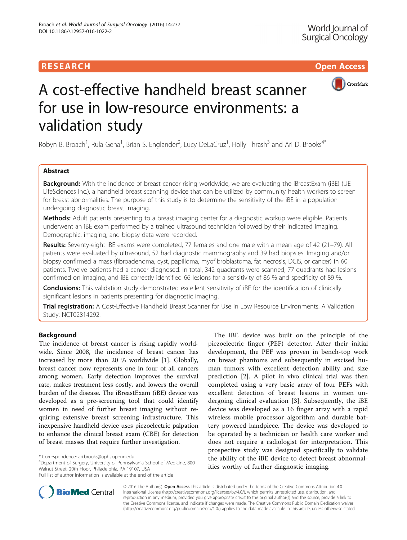# **RESEARCH CHILD CONTROL** CONTROL CONTROL CONTROL CONTROL CONTROL CONTROL CONTROL CONTROL CONTROL CONTROL CONTROL



# A cost-effective handheld breast scanner for use in low-resource environments: a validation study

Robyn B. Broach<sup>1</sup>, Rula Geha<sup>1</sup>, Brian S. Englander<sup>2</sup>, Lucy DeLaCruz<sup>1</sup>, Holly Thrash<sup>3</sup> and Ari D. Brooks<sup>4\*</sup>

# Abstract

Background: With the incidence of breast cancer rising worldwide, we are evaluating the iBreastExam (iBE) (UE LifeSciences Inc.), a handheld breast scanning device that can be utilized by community health workers to screen for breast abnormalities. The purpose of this study is to determine the sensitivity of the iBE in a population undergoing diagnostic breast imaging.

Methods: Adult patients presenting to a breast imaging center for a diagnostic workup were eligible. Patients underwent an iBE exam performed by a trained ultrasound technician followed by their indicated imaging. Demographic, imaging, and biopsy data were recorded.

Results: Seventy-eight iBE exams were completed, 77 females and one male with a mean age of 42 (21–79). All patients were evaluated by ultrasound, 52 had diagnostic mammography and 39 had biopsies. Imaging and/or biopsy confirmed a mass (fibroadenoma, cyst, papilloma, myofibroblastoma, fat necrosis, DCIS, or cancer) in 60 patients. Twelve patients had a cancer diagnosed. In total, 342 quadrants were scanned, 77 quadrants had lesions confirmed on imaging, and iBE correctly identified 66 lesions for a sensitivity of 86 % and specificity of 89 %.

**Conclusions:** This validation study demonstrated excellent sensitivity of iBE for the identification of clinically significant lesions in patients presenting for diagnostic imaging.

Trial registration: A Cost-Effective Handheld Breast Scanner for Use in Low Resource Environments: A Validation Study: [NCT02814292](https://clinicaltrials.gov/ct2/show/NCT02814292?term=NCT02814292&rank=1).

# Background

The incidence of breast cancer is rising rapidly worldwide. Since 2008, the incidence of breast cancer has increased by more than 20 % worldwide [[1](#page-4-0)]. Globally, breast cancer now represents one in four of all cancers among women. Early detection improves the survival rate, makes treatment less costly, and lowers the overall burden of the disease. The iBreastExam (iBE) device was developed as a pre-screening tool that could identify women in need of further breast imaging without requiring extensive breast screening infrastructure. This inexpensive handheld device uses piezoelectric palpation to enhance the clinical breast exam (CBE) for detection of breast masses that require further investigation.

Department of Surgery, University of Pennsylvania School of Medicine, 800 Walnut Street, 20th Floor, Philadelphia, PA 19107, USA

Full list of author information is available at the end of the article



**BioMed Central** 

© 2016 The Author(s). Open Access This article is distributed under the terms of the Creative Commons Attribution 4.0 International License [\(http://creativecommons.org/licenses/by/4.0/](http://creativecommons.org/licenses/by/4.0/)), which permits unrestricted use, distribution, and reproduction in any medium, provided you give appropriate credit to the original author(s) and the source, provide a link to the Creative Commons license, and indicate if changes were made. The Creative Commons Public Domain Dedication waiver [\(http://creativecommons.org/publicdomain/zero/1.0/](http://creativecommons.org/publicdomain/zero/1.0/)) applies to the data made available in this article, unless otherwise stated.

<sup>\*</sup> Correspondence: [ari.brooks@uphs.upenn.edu](mailto:ari.brooks@uphs.upenn.edu) <sup>4</sup>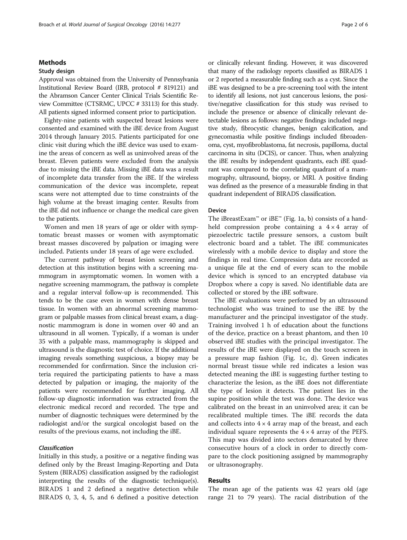## Methods

## Study design

Approval was obtained from the University of Pennsylvania Institutional Review Board (IRB, protocol # 819121) and the Abramson Cancer Center Clinical Trials Scientific Review Committee (CTSRMC, UPCC # 33113) for this study. All patients signed informed consent prior to participation.

Eighty-nine patients with suspected breast lesions were consented and examined with the iBE device from August 2014 through January 2015. Patients participated for one clinic visit during which the iBE device was used to examine the areas of concern as well as uninvolved areas of the breast. Eleven patients were excluded from the analysis due to missing the iBE data. Missing iBE data was a result of incomplete data transfer from the iBE. If the wireless communication of the device was incomplete, repeat scans were not attempted due to time constraints of the high volume at the breast imaging center. Results from the iBE did not influence or change the medical care given to the patients.

Women and men 18 years of age or older with symptomatic breast masses or women with asymptomatic breast masses discovered by palpation or imaging were included. Patients under 18 years of age were excluded.

The current pathway of breast lesion screening and detection at this institution begins with a screening mammogram in asymptomatic women. In women with a negative screening mammogram, the pathway is complete and a regular interval follow-up is recommended. This tends to be the case even in women with dense breast tissue. In women with an abnormal screening mammogram or palpable masses from clinical breast exam, a diagnostic mammogram is done in women over 40 and an ultrasound in all women. Typically, if a woman is under 35 with a palpable mass, mammography is skipped and ultrasound is the diagnostic test of choice. If the additional imaging reveals something suspicious, a biopsy may be recommended for confirmation. Since the inclusion criteria required the participating patients to have a mass detected by palpation or imaging, the majority of the patients were recommended for further imaging. All follow-up diagnostic information was extracted from the electronic medical record and recorded. The type and number of diagnostic techniques were determined by the radiologist and/or the surgical oncologist based on the results of the previous exams, not including the iBE.

# Classification

Initially in this study, a positive or a negative finding was defined only by the Breast Imaging-Reporting and Data System (BIRADS) classification assigned by the radiologist interpreting the results of the diagnostic technique(s). BIRADS 1 and 2 defined a negative detection while BIRADS 0, 3, 4, 5, and 6 defined a positive detection or clinically relevant finding. However, it was discovered that many of the radiology reports classified as BIRADS 1 or 2 reported a measurable finding such as a cyst. Since the iBE was designed to be a pre-screening tool with the intent to identify all lesions, not just cancerous lesions, the positive/negative classification for this study was revised to include the presence or absence of clinically relevant detectable lesions as follows: negative findings included negative study, fibrocystic changes, benign calcification, and gynecomastia while positive findings included fibroadenoma, cyst, myofibroblastoma, fat necrosis, papilloma, ductal carcinoma in situ (DCIS), or cancer. Thus, when analyzing the iBE results by independent quadrants, each iBE quadrant was compared to the correlating quadrant of a mammography, ultrasound, biopsy, or MRI. A positive finding was defined as the presence of a measurable finding in that quadrant independent of BIRADS classification.

## Device

The iBreastExam™ or iBE™ (Fig. [1a, b](#page-2-0)) consists of a handheld compression probe containing a  $4 \times 4$  array of piezoelectric tactile pressure sensors, a custom built electronic board and a tablet. The iBE communicates wirelessly with a mobile device to display and store the findings in real time. Compression data are recorded as a unique file at the end of every scan to the mobile device which is synced to an encrypted database via Dropbox where a copy is saved. No identifiable data are collected or stored by the iBE software.

The iBE evaluations were performed by an ultrasound technologist who was trained to use the iBE by the manufacturer and the principal investigator of the study. Training involved 1 h of education about the functions of the device, practice on a breast phantom, and then 10 observed iBE studies with the principal investigator. The results of the iBE were displayed on the touch screen in a pressure map fashion (Fig. [1c, d](#page-2-0)). Green indicates normal breast tissue while red indicates a lesion was detected meaning the iBE is suggesting further testing to characterize the lesion, as the iBE does not differentiate the type of lesion it detects. The patient lies in the supine position while the test was done. The device was calibrated on the breast in an uninvolved area; it can be recalibrated multiple times. The iBE records the data and collects into  $4 \times 4$  array map of the breast, and each individual square represents the  $4 \times 4$  array of the PEFS. This map was divided into sectors demarcated by three consecutive hours of a clock in order to directly compare to the clock positioning assigned by mammography or ultrasonography.

# Results

The mean age of the patients was 42 years old (age range 21 to 79 years). The racial distribution of the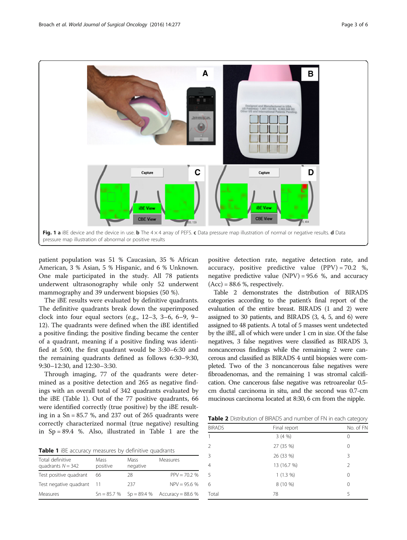<span id="page-2-0"></span>

patient population was 51 % Caucasian, 35 % African American, 3 % Asian, 5 % Hispanic, and 6 % Unknown. One male participated in the study. All 78 patients underwent ultrasonography while only 52 underwent mammography and 39 underwent biopsies (50 %).

The iBE results were evaluated by definitive quadrants. The definitive quadrants break down the superimposed clock into four equal sectors (e.g., 12–3, 3–6, 6–9, 9– 12). The quadrants were defined when the iBE identified a positive finding; the positive finding became the center of a quadrant, meaning if a positive finding was identified at 5:00, the first quadrant would be 3:30–6:30 and the remaining quadrants defined as follows 6:30–9:30, 9:30–12:30, and 12:30–3:30.

Through imaging, 77 of the quadrants were determined as a positive detection and 265 as negative findings with an overall total of 342 quadrants evaluated by the iBE (Table 1). Out of the 77 positive quadrants, 66 were identified correctly (true positive) by the iBE resulting in a  $Sn = 85.7$  %, and 237 out of 265 quadrants were correctly characterized normal (true negative) resulting in  $Sp = 89.4$  %. Also, illustrated in Table 1 are the

| Table 1 iBE accuracy measures by definitive quadrants |  |  |  |
|-------------------------------------------------------|--|--|--|
|-------------------------------------------------------|--|--|--|

| Total definitive<br>quadrants $N = 342$ | Mass<br>positive | <b>Mass</b><br>negative | Measures                                    |
|-----------------------------------------|------------------|-------------------------|---------------------------------------------|
| Test positive quadrant                  | 66               | 28                      | $PPV = 70.2 %$                              |
| Test negative quadrant                  |                  | 237                     | $NPV = 95.6 %$                              |
| Measures                                |                  |                         | $Sn = 85.7 %$ Sp = 89.4 % Accuracy = 88.6 % |

positive detection rate, negative detection rate, and accuracy, positive predictive value  $(PPV) = 70.2$  %, negative predictive value  $(NPV) = 95.6$  %, and accuracy  $(Acc) = 88.6$  %, respectively.

Table 2 demonstrates the distribution of BIRADS categories according to the patient's final report of the evaluation of the entire breast. BIRADS (1 and 2) were assigned to 30 patients, and BIRADS (3, 4, 5, and 6) were assigned to 48 patients. A total of 5 masses went undetected by the iBE, all of which were under 1 cm in size. Of the false negatives, 3 false negatives were classified as BIRADS 3, noncancerous findings while the remaining 2 were cancerous and classified as BIRADS 4 until biopsies were completed. Two of the 3 noncancerous false negatives were fibroadenomas, and the remaining 1 was stromal calcification. One cancerous false negative was retroareolar 0.5 cm ductal carcinoma in situ, and the second was 0.7-cm mucinous carcinoma located at 8:30, 6 cm from the nipple.

**Table 2** Distribution of BIRADS and number of FN in each category

| production of only too and named on minded to category |              |           |  |
|--------------------------------------------------------|--------------|-----------|--|
| <b>BIRADS</b>                                          | Final report | No. of FN |  |
| $\mathbf{1}$                                           | 3(4%)        | 0         |  |
| 2                                                      | 27 (35 %)    | 0         |  |
| 3                                                      | 26 (33 %)    | 3         |  |
| $\overline{4}$                                         | 13 (16.7 %)  | 2         |  |
| 5                                                      | $1(1.3\%)$   | 0         |  |
| 6                                                      | 8 (10 %)     | 0         |  |
| Total                                                  | 78           | 5         |  |
|                                                        |              |           |  |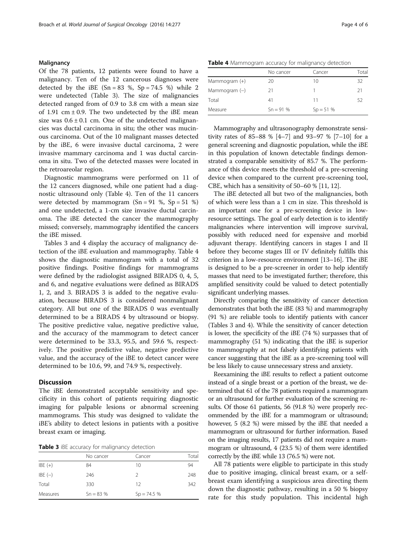## **Malignancy**

Of the 78 patients, 12 patients were found to have a malignancy. Ten of the 12 cancerous diagnoses were detected by the iBE  $(Sn = 83 \%)$ ,  $Sp = 74.5 \%)$  while 2 were undetected (Table 3). The size of malignancies detected ranged from of 0.9 to 3.8 cm with a mean size of 1.91 cm  $\pm$  0.9. The two undetected by the iBE mean size was  $0.6 \pm 0.1$  cm. One of the undetected malignancies was ductal carcinoma in situ; the other was mucinous carcinoma. Out of the 10 malignant masses detected by the iBE, 6 were invasive ductal carcinoma, 2 were invasive mammary carcinoma and 1 was ductal carcinoma in situ. Two of the detected masses were located in the retroareolar region.

Diagnostic mammograms were performed on 11 of the 12 cancers diagnosed, while one patient had a diagnostic ultrasound only (Table 4). Ten of the 11 cancers were detected by mammogram  $(Sn = 91 \%)$ and one undetected, a 1-cm size invasive ductal carcinoma. The iBE detected the cancer the mammography missed; conversely, mammography identified the cancers the iBE missed.

Tables 3 and 4 display the accuracy of malignancy detection of the iBE evaluation and mammography. Table 4 shows the diagnostic mammogram with a total of 32 positive findings. Positive findings for mammograms were defined by the radiologist assigned BIRADS 0, 4, 5, and 6, and negative evaluations were defined as BIRADS 1, 2, and 3. BIRADS 3 is added to the negative evaluation, because BIRADS 3 is considered nonmalignant category. All but one of the BIRADS 0 was eventually determined to be a BIRADS 4 by ultrasound or biopsy. The positive predictive value, negative predictive value, and the accuracy of the mammogram to detect cancer were determined to be 33.3, 95.5, and 59.6 %, respectively. The positive predictive value, negative predictive value, and the accuracy of the iBE to detect cancer were determined to be 10.6, 99, and 74.9 %, respectively.

## **Discussion**

The iBE demonstrated acceptable sensitivity and specificity in this cohort of patients requiring diagnostic imaging for palpable lesions or abnormal screening mammograms. This study was designed to validate the iBE's ability to detect lesions in patients with a positive breast exam or imaging.

Table 3 iBE accuracy for malignancy detection

|           | No cancer  | Cancer       | Total |
|-----------|------------|--------------|-------|
| $IBE (+)$ | 84         | 10           | 94    |
| IBE $(-)$ | 246        | 2            | 248   |
| Total     | 330        | 12           | 342   |
| Measures  | $Sn = 83%$ | $Sp = 74.5%$ |       |

Table 4 Mammogram accuracy for malignancy detection

|                 | No cancer  | Cancer     | Total |
|-----------------|------------|------------|-------|
| Mammogram $(+)$ | 20         | 10         | 32    |
| Mammogram $(-)$ | 21         |            | 21    |
| Total           | 41         | 11         | 52    |
| Measure         | $Sn = 91%$ | $Sp = 51%$ |       |

Mammography and ultrasonography demonstrate sensitivity rates of 85–88 % [[4](#page-4-0)–[7](#page-5-0)] and 93–97 % [\[7](#page-5-0)–[10\]](#page-5-0) for a general screening and diagnostic population, while the iBE in this population of known detectable findings demonstrated a comparable sensitivity of 85.7 %. The performance of this device meets the threshold of a pre-screening device when compared to the current pre-screening tool, CBE, which has a sensitivity of 50–60 % [[11](#page-5-0), [12\]](#page-5-0).

The iBE detected all but two of the malignancies, both of which were less than a 1 cm in size. This threshold is an important one for a pre-screening device in lowresource settings. The goal of early detection is to identify malignancies where intervention will improve survival, possibly with reduced need for expensive and morbid adjuvant therapy. Identifying cancers in stages I and II before they become stages III or IV definitely fulfills this criterion in a low-resource environment [[13](#page-5-0)–[16\]](#page-5-0). The iBE is designed to be a pre-screener in order to help identify masses that need to be investigated further; therefore, this amplified sensitivity could be valued to detect potentially significant underlying masses.

Directly comparing the sensitivity of cancer detection demonstrates that both the iBE (83 %) and mammography (91 %) are reliable tools to identify patients with cancer (Tables 3 and 4). While the sensitivity of cancer detection is lower, the specificity of the iBE (74 %) surpasses that of mammography (51 %) indicating that the iBE is superior to mammography at not falsely identifying patients with cancer suggesting that the iBE as a pre-screening tool will be less likely to cause unnecessary stress and anxiety.

Reexamining the iBE results to reflect a patient outcome instead of a single breast or a portion of the breast, we determined that 61 of the 78 patients required a mammogram or an ultrasound for further evaluation of the screening results. Of those 61 patients, 56 (91.8 %) were properly recommended by the iBE for a mammogram or ultrasound; however, 5 (8.2 %) were missed by the iBE that needed a mammogram or ultrasound for further information. Based on the imaging results, 17 patients did not require a mammogram or ultrasound, 4 (23.5 %) of them were identified correctly by the iBE while 13 (76.5 %) were not.

All 78 patients were eligible to participate in this study due to positive imaging, clinical breast exam, or a selfbreast exam identifying a suspicious area directing them down the diagnostic pathway, resulting in a 50 % biopsy rate for this study population. This incidental high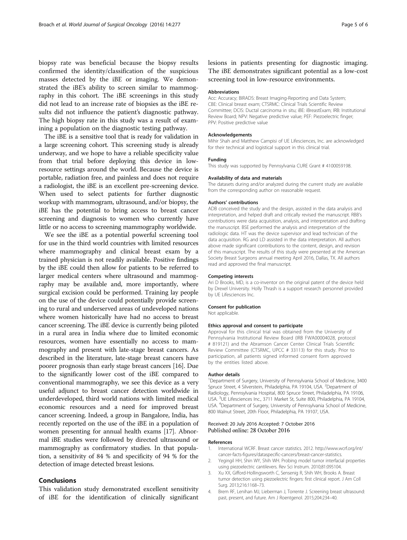<span id="page-4-0"></span>biopsy rate was beneficial because the biopsy results confirmed the identity/classification of the suspicious masses detected by the iBE or imaging. We demonstrated the iBE's ability to screen similar to mammography in this cohort. The iBE screenings in this study did not lead to an increase rate of biopsies as the iBE results did not influence the patient's diagnostic pathway. The high biopsy rate in this study was a result of examining a population on the diagnostic testing pathway.

The iBE is a sensitive tool that is ready for validation in a large screening cohort. This screening study is already underway, and we hope to have a reliable specificity value from that trial before deploying this device in lowresource settings around the world. Because the device is portable, radiation free, and painless and does not require a radiologist, the iBE is an excellent pre-screening device. When used to select patients for further diagnostic workup with mammogram, ultrasound, and/or biopsy, the iBE has the potential to bring access to breast cancer screening and diagnosis to women who currently have little or no access to screening mammography worldwide.

We see the iBE as a potential powerful screening tool for use in the third world countries with limited resources where mammography and clinical breast exam by a trained physician is not readily available. Positive findings by the iBE could then allow for patients to be referred to larger medical centers where ultrasound and mammography may be available and, more importantly, where surgical excision could be performed. Training lay people on the use of the device could potentially provide screening to rural and underserved areas of undeveloped nations where women historically have had no access to breast cancer screening. The iBE device is currently being piloted in a rural area in India where due to limited economic resources, women have essentially no access to mammography and present with late-stage breast cancers. As described in the literature, late-stage breast cancers have poorer prognosis than early stage breast cancers [\[16\]](#page-5-0). Due to the significantly lower cost of the iBE compared to conventional mammography, we see this device as a very useful adjunct to breast cancer detection worldwide in underdeveloped, third world nations with limited medical economic resources and a need for improved breast cancer screening. Indeed, a group in Bangalore, India, has recently reported on the use of the iBE in a population of women presenting for annual health exams [[17](#page-5-0)]. Abnormal iBE studies were followed by directed ultrasound or mammography as confirmatory studies. In that population, a sensitivity of 84 % and specificity of 94 % for the detection of image detected breast lesions.

## Conclusions

This validation study demonstrated excellent sensitivity of iBE for the identification of clinically significant

lesions in patients presenting for diagnostic imaging. The iBE demonstrates significant potential as a low-cost screening tool in low-resource environments.

## Abbreviations

Acc: Accuracy; BIRADS: Breast Imaging-Reporting and Data System; CBE: Clinical breast exam; CTSRMC: Clinical Trials Scientific Review Committee; DCIS: Ductal carcinoma in situ; iBE: iBreastExam; IRB: Institutional Review Board; NPV: Negative predictive value; PEF: Piezoelectric finger; PPV: Positive predictive value

#### Acknowledgements

Mihir Shah and Matthew Campisi of UE Lifesciences, Inc. are acknowledged for their technical and logistical support in this clinical trial.

#### Funding

This study was supported by Pennsylvania CURE Grant # 4100059198.

#### Availability of data and materials

The datasets during and/or analyzed during the current study are available from the corresponding author on reasonable request.

#### Authors' contributions

ADB conceived the study and the design, assisted in the data analysis and interpretation, and helped draft and critically revised the manuscript. RBB's contributions were data acquisition, analysis, and interpretation and drafting the manuscript. BSE performed the analysis and interpretation of the radiologic data. HT was the device supervisor and lead technician of the data acquisition. RG and LD assisted in the data interpretation. All authors above made significant contributions to the content, design, and revision of this manuscript. The results of this study were presented at the American Society Breast Surgeons annual meeting April 2016, Dallas, TX. All authors read and approved the final manuscript.

#### Competing interests

Ari D Brooks, MD, is a co-inventor on the original patent of the device held by Drexel University. Holly Thrash is a support research personnel provided by UE Lifesciences Inc.

#### Consent for publication

Not applicable.

#### Ethics approval and consent to participate

Approval for this clinical trial was obtained from the University of Pennsylvania Institutional Review Board (IRB FWA00004028, protocol # 819121) and the Abramson Cancer Center Clinical Trials Scientific Review Committee (CTSRMC, UPCC # 33113) for this study. Prior to participation, all patients signed informed consent form approved by the entities listed above.

#### Author details

<sup>1</sup>Department of Surgery, University of Pennsylvania School of Medicine, 3400 Spruce Street, 4 Silverstein, Philadelphia, PA 19104, USA. <sup>2</sup>Department of Radiology, Pennsylvania Hospital, 800 Spruce Street, Philadelphia, PA 19106, USA. <sup>3</sup>UE Lifesciences Inc., 3711 Market St, Suite 800, Philadelphia, PA 19104 USA. <sup>4</sup> Department of Surgery, University of Pennsylvania School of Medicine, 800 Walnut Street, 20th Floor, Philadelphia, PA 19107, USA.

#### Received: 20 July 2016 Accepted: 7 October 2016 Published online: 28 October 2016

#### References

- 1. International WCRF. Breast cancer statistics. 2012. [http://www.wcrf.org/int/](http://www.wcrf.org/int/cancer-facts-figures/dataspecific-cancers/breast-cancer-statistics) [cancer-facts-figures/dataspecific-cancers/breast-cancer-statistics.](http://www.wcrf.org/int/cancer-facts-figures/dataspecific-cancers/breast-cancer-statistics)
- 2. Yegingil HH, Shin WY, Shih WH. Probing model tumor interfacial properties using piezoelectric cantilevers. Rev Sci Instrum. 2010;81:095104.
- Xu XX, Gifford-Hollingsworth C, Sensenig R, Shih WH, Brooks A. Breast tumor detection using piezoelectric fingers: first clinical report. J Am Coll Surg. 2013;216:1168–73.
- 4. Brem RF, Lenihan MJ, Lieberman J, Torrente J. Screening breast ultrasound: past, present, and future. Am J Roentgenol. 2015;204:234–40.